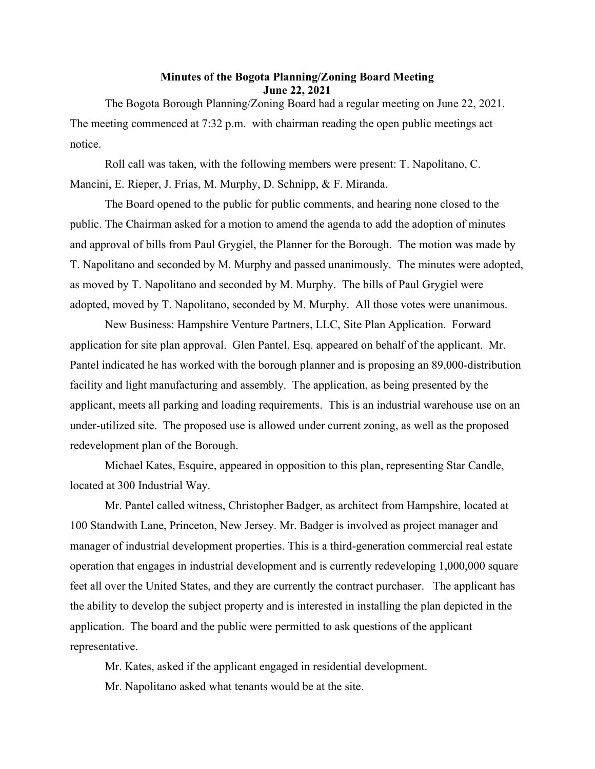## Minutes of the Bogota Planning/Zoning Board Meeting June 22, 2021

The Bogota Borough Planning/Zoning Board had a regular meeting on June 22, 2021. The meeting commenced at 7:32 p.m. with chairman reading the open public meetings act notice.

Roll call was taken, with the following members were present: T. Napolitano, C. Mancini, E. Rieper, J. Frias, M. Murphy, D. Schnipp, & F. Miranda.

The Board opened to the public for public comments, and hearing none closed to the public. The Chairman asked for a motion to amend the agenda to add the adoption of minutes and approval of bills from Paul Grygiel, the Planner for the Borough. The motion was made by T. Napolitano and seconded by M. Murphy and passed unanimously. The minutes were adopted, as moved by T. Napolitano and seconded by M. Murphy. The bills of Paul Grygiel were adopted, moved by T. Napolitano, seconded by M. Murphy. All those votes were unanimous.

New Business: Hampshire Venture Partners, LLC, Site Plan Application. Forward application for site plan approval. Glen Pantel, Esq. appeared on behalf of the applicant. Mr. Pantel indicated he has worked with the borough planner and is proposing an 89,000-distribution facility and light manufacturing and assembly. The application, as being presented by the applicant, meets all parking and loading requirements. This is an industrial warehouse use on an under-utilized site. The proposed use is allowed under current zoning, as well as the proposed redevelopment plan of the Borough.

Michael Kates, Esquire, appeared in opposition to this plan, representing Star Candle, located at 300 Industrial Way.

Mr. Pantel called witness, Christopher Badger, as architect from Hampshire, located at 100 Standwith Lane, Princeton, New Jersey. Mr. Badger is involved as project manager and manager of industrial development properties. This is a third-generation commercial real estate operation that engages in industrial development and is currently redeveloping 1,000,000 square feet all over the United States, and they are currently the contract purchaser. The applicant has the ability to develop the subject property and is interested in installing the plan depicted in the application. The board and the public were permitted to ask questions of the applicant representative.

Mr. Kates, asked if the applicant engaged in residential development.

Mr. Napolitano asked what tenants would be at the site.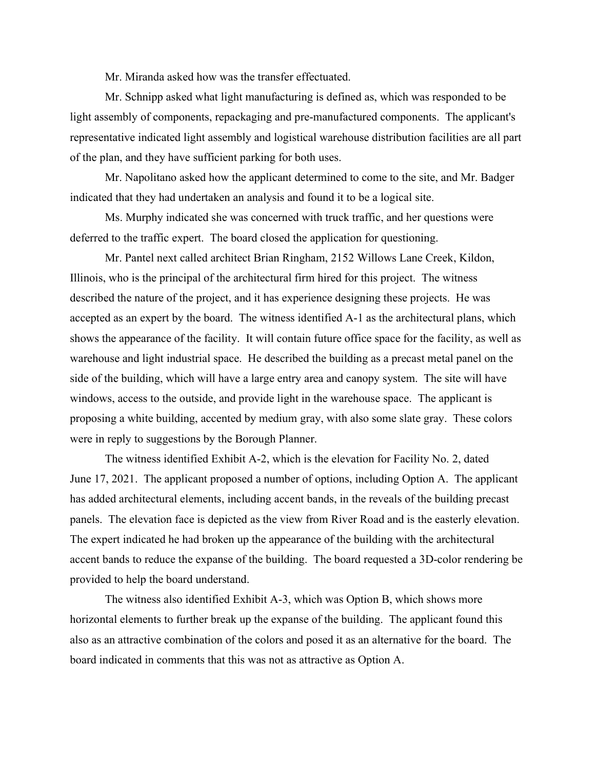Mr. Miranda asked how was the transfer effectuated.

Mr. Schnipp asked what light manufacturing is defined as, which was responded to be light assembly of components, repackaging and pre-manufactured components. The applicant's representative indicated light assembly and logistical warehouse distribution facilities are all part of the plan, and they have sufficient parking for both uses.

Mr. Napolitano asked how the applicant determined to come to the site, and Mr. Badger indicated that they had undertaken an analysis and found it to be a logical site.

Ms. Murphy indicated she was concerned with truck traffic, and her questions were deferred to the traffic expert. The board closed the application for questioning.

Mr. Pantel next called architect Brian Ringham, 2152 Willows Lane Creek, Kildon, Illinois, who is the principal of the architectural firm hired for this project. The witness described the nature of the project, and it has experience designing these projects. He was accepted as an expert by the board. The witness identified A-1 as the architectural plans, which shows the appearance of the facility. It will contain future office space for the facility, as well as warehouse and light industrial space. He described the building as a precast metal panel on the side of the building, which will have a large entry area and canopy system. The site will have windows, access to the outside, and provide light in the warehouse space. The applicant is proposing a white building, accented by medium gray, with also some slate gray. These colors were in reply to suggestions by the Borough Planner.

The witness identified Exhibit A-2, which is the elevation for Facility No. 2, dated June 17, 2021. The applicant proposed a number of options, including Option A. The applicant has added architectural elements, including accent bands, in the reveals of the building precast panels. The elevation face is depicted as the view from River Road and is the easterly elevation. The expert indicated he had broken up the appearance of the building with the architectural accent bands to reduce the expanse of the building. The board requested a 3D-color rendering be provided to help the board understand.

The witness also identified Exhibit A-3, which was Option B, which shows more horizontal elements to further break up the expanse of the building. The applicant found this also as an attractive combination of the colors and posed it as an alternative for the board. The board indicated in comments that this was not as attractive as Option A.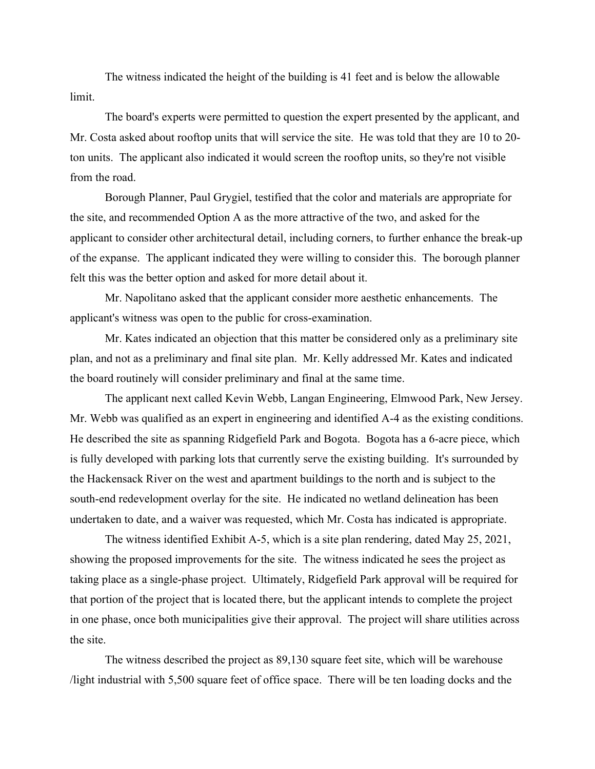The witness indicated the height of the building is 41 feet and is below the allowable limit.

The board's experts were permitted to question the expert presented by the applicant, and Mr. Costa asked about rooftop units that will service the site. He was told that they are 10 to 20 ton units. The applicant also indicated it would screen the rooftop units, so they're not visible from the road.

Borough Planner, Paul Grygiel, testified that the color and materials are appropriate for the site, and recommended Option A as the more attractive of the two, and asked for the applicant to consider other architectural detail, including corners, to further enhance the break-up of the expanse. The applicant indicated they were willing to consider this. The borough planner felt this was the better option and asked for more detail about it.

Mr. Napolitano asked that the applicant consider more aesthetic enhancements. The applicant's witness was open to the public for cross-examination.

Mr. Kates indicated an objection that this matter be considered only as a preliminary site plan, and not as a preliminary and final site plan. Mr. Kelly addressed Mr. Kates and indicated the board routinely will consider preliminary and final at the same time.

The applicant next called Kevin Webb, Langan Engineering, Elmwood Park, New Jersey. Mr. Webb was qualified as an expert in engineering and identified A-4 as the existing conditions. He described the site as spanning Ridgefield Park and Bogota. Bogota has a 6-acre piece, which is fully developed with parking lots that currently serve the existing building. It's surrounded by the Hackensack River on the west and apartment buildings to the north and is subject to the south-end redevelopment overlay for the site. He indicated no wetland delineation has been undertaken to date, and a waiver was requested, which Mr. Costa has indicated is appropriate.

The witness identified Exhibit A-5, which is a site plan rendering, dated May 25, 2021, showing the proposed improvements for the site. The witness indicated he sees the project as taking place as a single-phase project. Ultimately, Ridgefield Park approval will be required for that portion of the project that is located there, but the applicant intends to complete the project in one phase, once both municipalities give their approval. The project will share utilities across the site.

The witness described the project as 89,130 square feet site, which will be warehouse /light industrial with 5,500 square feet of office space. There will be ten loading docks and the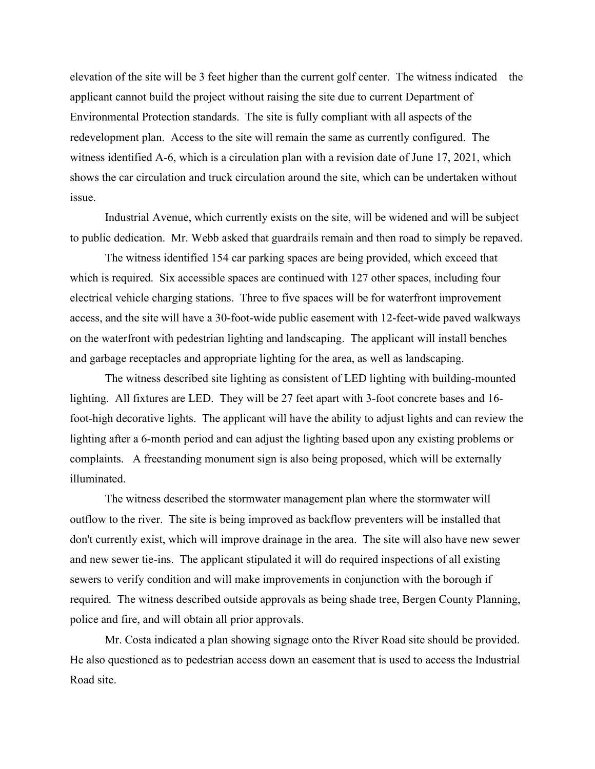elevation of the site will be 3 feet higher than the current golf center. The witness indicated the applicant cannot build the project without raising the site due to current Department of Environmental Protection standards. The site is fully compliant with all aspects of the redevelopment plan. Access to the site will remain the same as currently configured. The witness identified A-6, which is a circulation plan with a revision date of June 17, 2021, which shows the car circulation and truck circulation around the site, which can be undertaken without issue.

Industrial Avenue, which currently exists on the site, will be widened and will be subject to public dedication. Mr. Webb asked that guardrails remain and then road to simply be repaved.

The witness identified 154 car parking spaces are being provided, which exceed that which is required. Six accessible spaces are continued with 127 other spaces, including four electrical vehicle charging stations. Three to five spaces will be for waterfront improvement access, and the site will have a 30-foot-wide public easement with 12-feet-wide paved walkways on the waterfront with pedestrian lighting and landscaping. The applicant will install benches and garbage receptacles and appropriate lighting for the area, as well as landscaping.

The witness described site lighting as consistent of LED lighting with building-mounted lighting. All fixtures are LED. They will be 27 feet apart with 3-foot concrete bases and 16 foot-high decorative lights. The applicant will have the ability to adjust lights and can review the lighting after a 6-month period and can adjust the lighting based upon any existing problems or complaints. A freestanding monument sign is also being proposed, which will be externally illuminated.

The witness described the stormwater management plan where the stormwater will outflow to the river. The site is being improved as backflow preventers will be installed that don't currently exist, which will improve drainage in the area. The site will also have new sewer and new sewer tie-ins. The applicant stipulated it will do required inspections of all existing sewers to verify condition and will make improvements in conjunction with the borough if required. The witness described outside approvals as being shade tree, Bergen County Planning, police and fire, and will obtain all prior approvals.

Mr. Costa indicated a plan showing signage onto the River Road site should be provided. He also questioned as to pedestrian access down an easement that is used to access the Industrial Road site.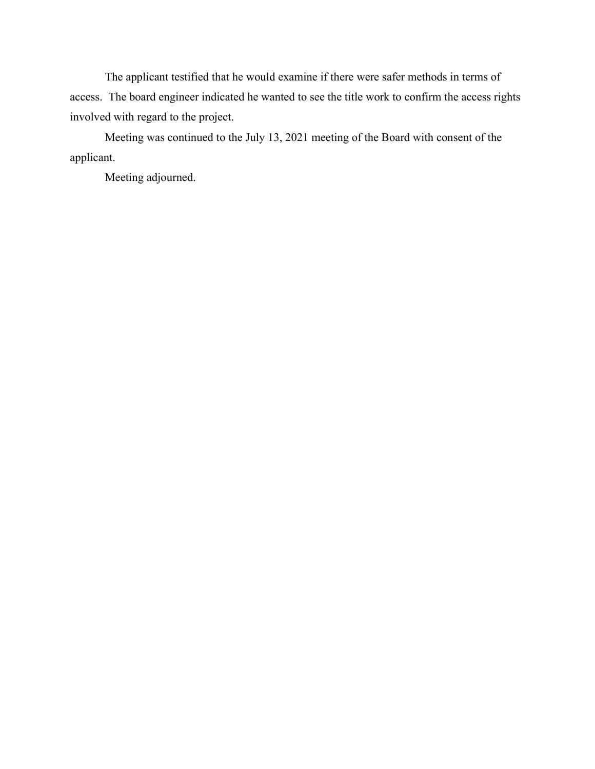The applicant testified that he would examine if there were safer methods in terms of access. The board engineer indicated he wanted to see the title work to confirm the access rights involved with regard to the project.

Meeting was continued to the July 13, 2021 meeting of the Board with consent of the applicant.

Meeting adjourned.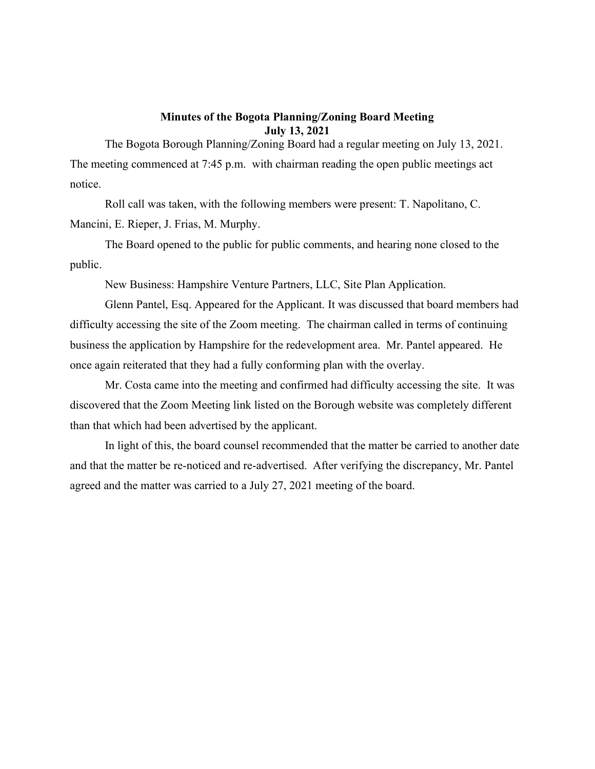## Minutes of the Bogota Planning/Zoning Board Meeting July 13, 2021

The Bogota Borough Planning/Zoning Board had a regular meeting on July 13, 2021. The meeting commenced at 7:45 p.m. with chairman reading the open public meetings act notice.

Roll call was taken, with the following members were present: T. Napolitano, C. Mancini, E. Rieper, J. Frias, M. Murphy.

The Board opened to the public for public comments, and hearing none closed to the public.

New Business: Hampshire Venture Partners, LLC, Site Plan Application.

Glenn Pantel, Esq. Appeared for the Applicant. It was discussed that board members had difficulty accessing the site of the Zoom meeting. The chairman called in terms of continuing business the application by Hampshire for the redevelopment area. Mr. Pantel appeared. He once again reiterated that they had a fully conforming plan with the overlay.

Mr. Costa came into the meeting and confirmed had difficulty accessing the site. It was discovered that the Zoom Meeting link listed on the Borough website was completely different than that which had been advertised by the applicant.

In light of this, the board counsel recommended that the matter be carried to another date and that the matter be re-noticed and re-advertised. After verifying the discrepancy, Mr. Pantel agreed and the matter was carried to a July 27, 2021 meeting of the board.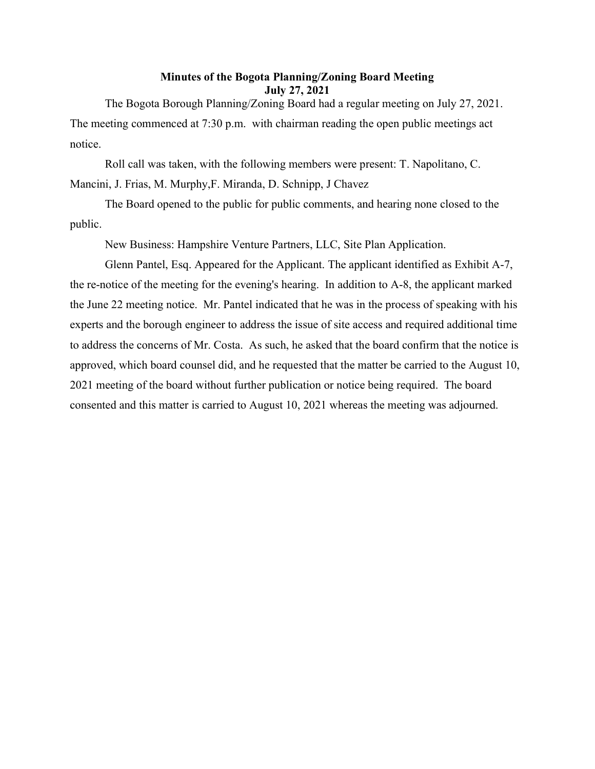## Minutes of the Bogota Planning/Zoning Board Meeting July 27, 2021

The Bogota Borough Planning/Zoning Board had a regular meeting on July 27, 2021. The meeting commenced at 7:30 p.m. with chairman reading the open public meetings act notice.

Roll call was taken, with the following members were present: T. Napolitano, C. Mancini, J. Frias, M. Murphy,F. Miranda, D. Schnipp, J Chavez

The Board opened to the public for public comments, and hearing none closed to the public.

New Business: Hampshire Venture Partners, LLC, Site Plan Application.

Glenn Pantel, Esq. Appeared for the Applicant. The applicant identified as Exhibit A-7, the re-notice of the meeting for the evening's hearing. In addition to A-8, the applicant marked the June 22 meeting notice. Mr. Pantel indicated that he was in the process of speaking with his experts and the borough engineer to address the issue of site access and required additional time to address the concerns of Mr. Costa. As such, he asked that the board confirm that the notice is approved, which board counsel did, and he requested that the matter be carried to the August 10, 2021 meeting of the board without further publication or notice being required. The board consented and this matter is carried to August 10, 2021 whereas the meeting was adjourned.